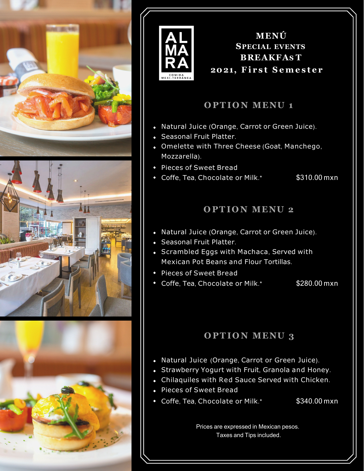



**MENÚ SPECIAL EVENTS BREAKFAS T 2021, First Semester**

### **O PT IO N MENU 1**

- Natural Juice (Orange, Carrot or Green Juice).
- Seasonal Fruit Platter.
- Omelette with Three Cheese (Goat, Manchego, Mozzarella).
- Pieces of Sweet Bread
- Coffe, Tea, Chocolate or Milk.\* \$310.00 mxn

### **O PT IO N MENU 2**

- Natural Juice (Orange, Carrot or Green Juice).
- Seasonal Fruit Platter.
- Scrambled Eggs with Machaca, Served with Mexican Pot Beans and Flour Tortillas.
- Pieces of Sweet Bread
- Coffe, Tea, Chocolate or Milk.\* \$280.00 mxn

## **O PT IO N MENU 3**

- Natural Juice (Orange, Carrot or Green Juice).
- Strawberry Yogurt with Fruit, Granola and Honey.
- Chilaquiles with Red Sauce Served with Chicken.
- Pieces of Sweet Bread
- Coffe, Tea, Chocolate or Milk.\* \$340.00 mxn

Prices are expressed in Mexican pesos. Taxes and Tips included.